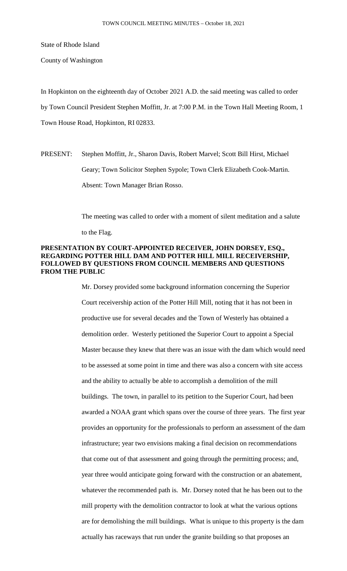State of Rhode Island

County of Washington

In Hopkinton on the eighteenth day of October 2021 A.D. the said meeting was called to order by Town Council President Stephen Moffitt, Jr. at 7:00 P.M. in the Town Hall Meeting Room, 1 Town House Road, Hopkinton, RI 02833.

PRESENT: Stephen Moffitt, Jr., Sharon Davis, Robert Marvel; Scott Bill Hirst, Michael Geary; Town Solicitor Stephen Sypole; Town Clerk Elizabeth Cook-Martin. Absent: Town Manager Brian Rosso.

The meeting was called to order with a moment of silent meditation and a salute

to the Flag.

## **PRESENTATION BY COURT-APPOINTED RECEIVER, JOHN DORSEY, ESQ., REGARDING POTTER HILL DAM AND POTTER HILL MILL RECEIVERSHIP, FOLLOWED BY QUESTIONS FROM COUNCIL MEMBERS AND QUESTIONS FROM THE PUBLIC**

Mr. Dorsey provided some background information concerning the Superior Court receivership action of the Potter Hill Mill, noting that it has not been in productive use for several decades and the Town of Westerly has obtained a demolition order. Westerly petitioned the Superior Court to appoint a Special Master because they knew that there was an issue with the dam which would need to be assessed at some point in time and there was also a concern with site access and the ability to actually be able to accomplish a demolition of the mill buildings. The town, in parallel to its petition to the Superior Court, had been awarded a NOAA grant which spans over the course of three years. The first year provides an opportunity for the professionals to perform an assessment of the dam infrastructure; year two envisions making a final decision on recommendations that come out of that assessment and going through the permitting process; and, year three would anticipate going forward with the construction or an abatement, whatever the recommended path is. Mr. Dorsey noted that he has been out to the mill property with the demolition contractor to look at what the various options are for demolishing the mill buildings. What is unique to this property is the dam actually has raceways that run under the granite building so that proposes an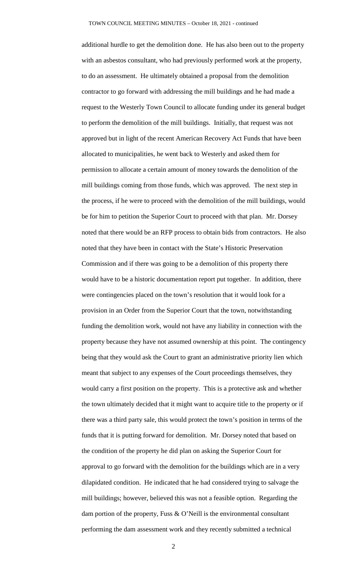additional hurdle to get the demolition done. He has also been out to the property with an asbestos consultant, who had previously performed work at the property, to do an assessment. He ultimately obtained a proposal from the demolition contractor to go forward with addressing the mill buildings and he had made a request to the Westerly Town Council to allocate funding under its general budget to perform the demolition of the mill buildings. Initially, that request was not approved but in light of the recent American Recovery Act Funds that have been allocated to municipalities, he went back to Westerly and asked them for permission to allocate a certain amount of money towards the demolition of the mill buildings coming from those funds, which was approved. The next step in the process, if he were to proceed with the demolition of the mill buildings, would be for him to petition the Superior Court to proceed with that plan. Mr. Dorsey noted that there would be an RFP process to obtain bids from contractors. He also noted that they have been in contact with the State's Historic Preservation Commission and if there was going to be a demolition of this property there would have to be a historic documentation report put together. In addition, there were contingencies placed on the town's resolution that it would look for a provision in an Order from the Superior Court that the town, notwithstanding funding the demolition work, would not have any liability in connection with the property because they have not assumed ownership at this point. The contingency being that they would ask the Court to grant an administrative priority lien which meant that subject to any expenses of the Court proceedings themselves, they would carry a first position on the property. This is a protective ask and whether the town ultimately decided that it might want to acquire title to the property or if there was a third party sale, this would protect the town's position in terms of the funds that it is putting forward for demolition. Mr. Dorsey noted that based on the condition of the property he did plan on asking the Superior Court for approval to go forward with the demolition for the buildings which are in a very dilapidated condition. He indicated that he had considered trying to salvage the mill buildings; however, believed this was not a feasible option. Regarding the dam portion of the property, Fuss & O'Neill is the environmental consultant performing the dam assessment work and they recently submitted a technical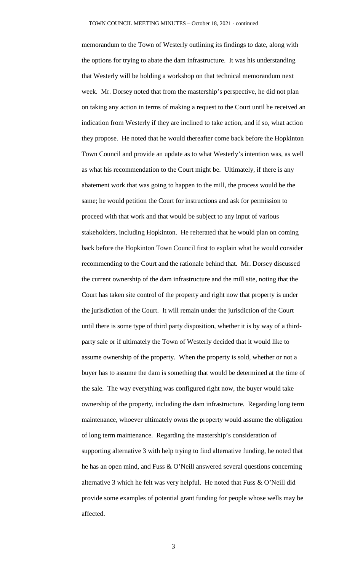memorandum to the Town of Westerly outlining its findings to date, along with the options for trying to abate the dam infrastructure. It was his understanding that Westerly will be holding a workshop on that technical memorandum next week. Mr. Dorsey noted that from the mastership's perspective, he did not plan on taking any action in terms of making a request to the Court until he received an indication from Westerly if they are inclined to take action, and if so, what action they propose. He noted that he would thereafter come back before the Hopkinton Town Council and provide an update as to what Westerly's intention was, as well as what his recommendation to the Court might be. Ultimately, if there is any abatement work that was going to happen to the mill, the process would be the same; he would petition the Court for instructions and ask for permission to proceed with that work and that would be subject to any input of various stakeholders, including Hopkinton. He reiterated that he would plan on coming back before the Hopkinton Town Council first to explain what he would consider recommending to the Court and the rationale behind that. Mr. Dorsey discussed the current ownership of the dam infrastructure and the mill site, noting that the Court has taken site control of the property and right now that property is under the jurisdiction of the Court. It will remain under the jurisdiction of the Court until there is some type of third party disposition, whether it is by way of a thirdparty sale or if ultimately the Town of Westerly decided that it would like to assume ownership of the property. When the property is sold, whether or not a buyer has to assume the dam is something that would be determined at the time of the sale. The way everything was configured right now, the buyer would take ownership of the property, including the dam infrastructure. Regarding long term maintenance, whoever ultimately owns the property would assume the obligation of long term maintenance. Regarding the mastership's consideration of supporting alternative 3 with help trying to find alternative funding, he noted that he has an open mind, and Fuss & O'Neill answered several questions concerning alternative 3 which he felt was very helpful. He noted that Fuss & O'Neill did provide some examples of potential grant funding for people whose wells may be affected.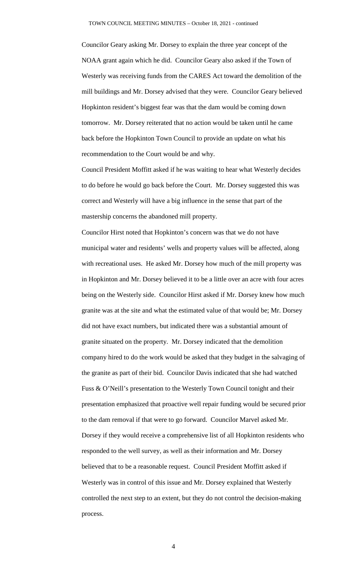Councilor Geary asking Mr. Dorsey to explain the three year concept of the NOAA grant again which he did. Councilor Geary also asked if the Town of Westerly was receiving funds from the CARES Act toward the demolition of the mill buildings and Mr. Dorsey advised that they were. Councilor Geary believed Hopkinton resident's biggest fear was that the dam would be coming down tomorrow. Mr. Dorsey reiterated that no action would be taken until he came back before the Hopkinton Town Council to provide an update on what his recommendation to the Court would be and why.

Council President Moffitt asked if he was waiting to hear what Westerly decides to do before he would go back before the Court. Mr. Dorsey suggested this was correct and Westerly will have a big influence in the sense that part of the mastership concerns the abandoned mill property.

Councilor Hirst noted that Hopkinton's concern was that we do not have municipal water and residents' wells and property values will be affected, along with recreational uses. He asked Mr. Dorsey how much of the mill property was in Hopkinton and Mr. Dorsey believed it to be a little over an acre with four acres being on the Westerly side. Councilor Hirst asked if Mr. Dorsey knew how much granite was at the site and what the estimated value of that would be; Mr. Dorsey did not have exact numbers, but indicated there was a substantial amount of granite situated on the property. Mr. Dorsey indicated that the demolition company hired to do the work would be asked that they budget in the salvaging of the granite as part of their bid. Councilor Davis indicated that she had watched Fuss & O'Neill's presentation to the Westerly Town Council tonight and their presentation emphasized that proactive well repair funding would be secured prior to the dam removal if that were to go forward. Councilor Marvel asked Mr. Dorsey if they would receive a comprehensive list of all Hopkinton residents who responded to the well survey, as well as their information and Mr. Dorsey believed that to be a reasonable request. Council President Moffitt asked if Westerly was in control of this issue and Mr. Dorsey explained that Westerly controlled the next step to an extent, but they do not control the decision-making process.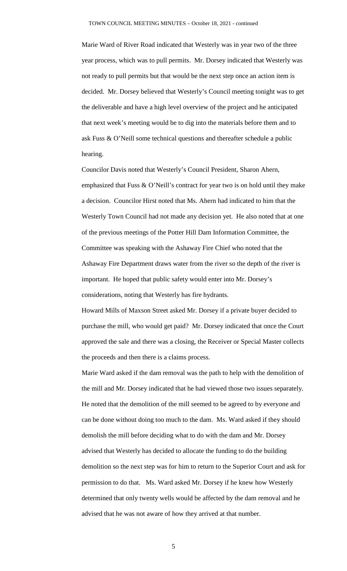Marie Ward of River Road indicated that Westerly was in year two of the three year process, which was to pull permits. Mr. Dorsey indicated that Westerly was not ready to pull permits but that would be the next step once an action item is decided. Mr. Dorsey believed that Westerly's Council meeting tonight was to get the deliverable and have a high level overview of the project and he anticipated that next week's meeting would be to dig into the materials before them and to ask Fuss & O'Neill some technical questions and thereafter schedule a public hearing.

Councilor Davis noted that Westerly's Council President, Sharon Ahern, emphasized that Fuss & O'Neill's contract for year two is on hold until they make a decision. Councilor Hirst noted that Ms. Ahern had indicated to him that the Westerly Town Council had not made any decision yet. He also noted that at one of the previous meetings of the Potter Hill Dam Information Committee, the Committee was speaking with the Ashaway Fire Chief who noted that the Ashaway Fire Department draws water from the river so the depth of the river is important. He hoped that public safety would enter into Mr. Dorsey's considerations, noting that Westerly has fire hydrants.

Howard Mills of Maxson Street asked Mr. Dorsey if a private buyer decided to purchase the mill, who would get paid? Mr. Dorsey indicated that once the Court approved the sale and there was a closing, the Receiver or Special Master collects the proceeds and then there is a claims process.

Marie Ward asked if the dam removal was the path to help with the demolition of the mill and Mr. Dorsey indicated that he had viewed those two issues separately. He noted that the demolition of the mill seemed to be agreed to by everyone and can be done without doing too much to the dam. Ms. Ward asked if they should demolish the mill before deciding what to do with the dam and Mr. Dorsey advised that Westerly has decided to allocate the funding to do the building demolition so the next step was for him to return to the Superior Court and ask for permission to do that. Ms. Ward asked Mr. Dorsey if he knew how Westerly determined that only twenty wells would be affected by the dam removal and he advised that he was not aware of how they arrived at that number.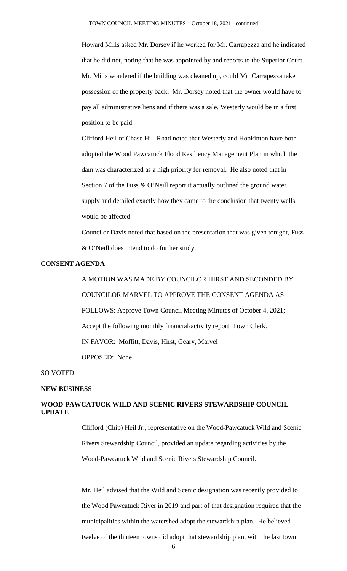Howard Mills asked Mr. Dorsey if he worked for Mr. Carrapezza and he indicated that he did not, noting that he was appointed by and reports to the Superior Court. Mr. Mills wondered if the building was cleaned up, could Mr. Carrapezza take possession of the property back. Mr. Dorsey noted that the owner would have to pay all administrative liens and if there was a sale, Westerly would be in a first position to be paid.

Clifford Heil of Chase Hill Road noted that Westerly and Hopkinton have both adopted the Wood Pawcatuck Flood Resiliency Management Plan in which the dam was characterized as a high priority for removal. He also noted that in Section 7 of the Fuss & O'Neill report it actually outlined the ground water supply and detailed exactly how they came to the conclusion that twenty wells would be affected.

Councilor Davis noted that based on the presentation that was given tonight, Fuss & O'Neill does intend to do further study.

## **CONSENT AGENDA**

A MOTION WAS MADE BY COUNCILOR HIRST AND SECONDED BY COUNCILOR MARVEL TO APPROVE THE CONSENT AGENDA AS FOLLOWS: Approve Town Council Meeting Minutes of October 4, 2021; Accept the following monthly financial/activity report: Town Clerk. IN FAVOR: Moffitt, Davis, Hirst, Geary, Marvel OPPOSED: None

#### SO VOTED

#### **NEW BUSINESS**

# **WOOD-PAWCATUCK WILD AND SCENIC RIVERS STEWARDSHIP COUNCIL UPDATE**

Clifford (Chip) Heil Jr., representative on the Wood-Pawcatuck Wild and Scenic Rivers Stewardship Council, provided an update regarding activities by the Wood-Pawcatuck Wild and Scenic Rivers Stewardship Council.

Mr. Heil advised that the Wild and Scenic designation was recently provided to the Wood Pawcatuck River in 2019 and part of that designation required that the municipalities within the watershed adopt the stewardship plan. He believed twelve of the thirteen towns did adopt that stewardship plan, with the last town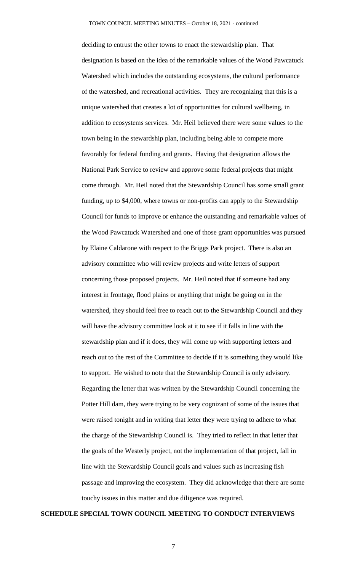deciding to entrust the other towns to enact the stewardship plan. That designation is based on the idea of the remarkable values of the Wood Pawcatuck Watershed which includes the outstanding ecosystems, the cultural performance of the watershed, and recreational activities. They are recognizing that this is a unique watershed that creates a lot of opportunities for cultural wellbeing, in addition to ecosystems services. Mr. Heil believed there were some values to the town being in the stewardship plan, including being able to compete more favorably for federal funding and grants. Having that designation allows the National Park Service to review and approve some federal projects that might come through. Mr. Heil noted that the Stewardship Council has some small grant funding, up to \$4,000, where towns or non-profits can apply to the Stewardship Council for funds to improve or enhance the outstanding and remarkable values of the Wood Pawcatuck Watershed and one of those grant opportunities was pursued by Elaine Caldarone with respect to the Briggs Park project. There is also an advisory committee who will review projects and write letters of support concerning those proposed projects. Mr. Heil noted that if someone had any interest in frontage, flood plains or anything that might be going on in the watershed, they should feel free to reach out to the Stewardship Council and they will have the advisory committee look at it to see if it falls in line with the stewardship plan and if it does, they will come up with supporting letters and reach out to the rest of the Committee to decide if it is something they would like to support. He wished to note that the Stewardship Council is only advisory. Regarding the letter that was written by the Stewardship Council concerning the Potter Hill dam, they were trying to be very cognizant of some of the issues that were raised tonight and in writing that letter they were trying to adhere to what the charge of the Stewardship Council is. They tried to reflect in that letter that the goals of the Westerly project, not the implementation of that project, fall in line with the Stewardship Council goals and values such as increasing fish passage and improving the ecosystem. They did acknowledge that there are some touchy issues in this matter and due diligence was required.

#### **SCHEDULE SPECIAL TOWN COUNCIL MEETING TO CONDUCT INTERVIEWS**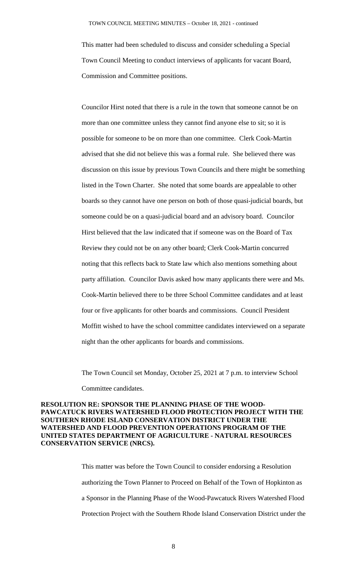This matter had been scheduled to discuss and consider scheduling a Special Town Council Meeting to conduct interviews of applicants for vacant Board, Commission and Committee positions.

Councilor Hirst noted that there is a rule in the town that someone cannot be on more than one committee unless they cannot find anyone else to sit; so it is possible for someone to be on more than one committee. Clerk Cook-Martin advised that she did not believe this was a formal rule. She believed there was discussion on this issue by previous Town Councils and there might be something listed in the Town Charter. She noted that some boards are appealable to other boards so they cannot have one person on both of those quasi-judicial boards, but someone could be on a quasi-judicial board and an advisory board. Councilor Hirst believed that the law indicated that if someone was on the Board of Tax Review they could not be on any other board; Clerk Cook-Martin concurred noting that this reflects back to State law which also mentions something about party affiliation. Councilor Davis asked how many applicants there were and Ms. Cook-Martin believed there to be three School Committee candidates and at least four or five applicants for other boards and commissions. Council President Moffitt wished to have the school committee candidates interviewed on a separate night than the other applicants for boards and commissions.

The Town Council set Monday, October 25, 2021 at 7 p.m. to interview School Committee candidates.

## **RESOLUTION RE: SPONSOR THE PLANNING PHASE OF THE WOOD-PAWCATUCK RIVERS WATERSHED FLOOD PROTECTION PROJECT WITH THE SOUTHERN RHODE ISLAND CONSERVATION DISTRICT UNDER THE WATERSHED AND FLOOD PREVENTION OPERATIONS PROGRAM OF THE UNITED STATES DEPARTMENT OF AGRICULTURE - NATURAL RESOURCES CONSERVATION SERVICE (NRCS).**

This matter was before the Town Council to consider endorsing a Resolution authorizing the Town Planner to Proceed on Behalf of the Town of Hopkinton as a Sponsor in the Planning Phase of the Wood-Pawcatuck Rivers Watershed Flood Protection Project with the Southern Rhode Island Conservation District under the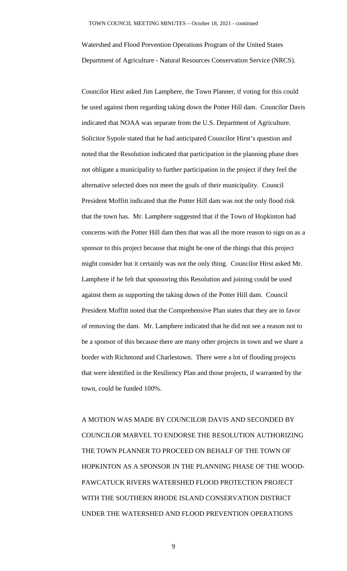Watershed and Flood Prevention Operations Program of the United States Department of Agriculture - Natural Resources Conservation Service (NRCS).

Councilor Hirst asked Jim Lamphere, the Town Planner, if voting for this could be used against them regarding taking down the Potter Hill dam. Councilor Davis indicated that NOAA was separate from the U.S. Department of Agriculture. Solicitor Sypole stated that he had anticipated Councilor Hirst's question and noted that the Resolution indicated that participation in the planning phase does not obligate a municipality to further participation in the project if they feel the alternative selected does not meet the goals of their municipality. Council President Moffitt indicated that the Potter Hill dam was not the only flood risk that the town has. Mr. Lamphere suggested that if the Town of Hopkinton had concerns with the Potter Hill dam then that was all the more reason to sign on as a sponsor to this project because that might be one of the things that this project might consider but it certainly was not the only thing. Councilor Hirst asked Mr. Lamphere if he felt that sponsoring this Resolution and joining could be used against them as supporting the taking down of the Potter Hill dam. Council President Moffitt noted that the Comprehensive Plan states that they are in favor of removing the dam. Mr. Lamphere indicated that he did not see a reason not to be a sponsor of this because there are many other projects in town and we share a border with Richmond and Charlestown. There were a lot of flooding projects that were identified in the Resiliency Plan and those projects, if warranted by the town, could be funded 100%.

A MOTION WAS MADE BY COUNCILOR DAVIS AND SECONDED BY COUNCILOR MARVEL TO ENDORSE THE RESOLUTION AUTHORIZING THE TOWN PLANNER TO PROCEED ON BEHALF OF THE TOWN OF HOPKINTON AS A SPONSOR IN THE PLANNING PHASE OF THE WOOD-PAWCATUCK RIVERS WATERSHED FLOOD PROTECTION PROJECT WITH THE SOUTHERN RHODE ISLAND CONSERVATION DISTRICT UNDER THE WATERSHED AND FLOOD PREVENTION OPERATIONS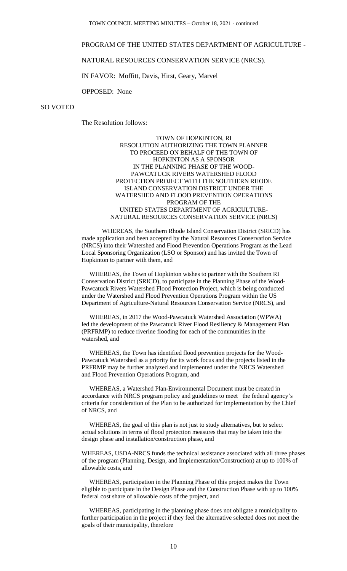## PROGRAM OF THE UNITED STATES DEPARTMENT OF AGRICULTURE -

## NATURAL RESOURCES CONSERVATION SERVICE (NRCS).

IN FAVOR: Moffitt, Davis, Hirst, Geary, Marvel

OPPOSED: None

## SO VOTED

The Resolution follows:

#### TOWN OF HOPKINTON, RI RESOLUTION AUTHORIZING THE TOWN PLANNER TO PROCEED ON BEHALF OF THE TOWN OF HOPKINTON AS A SPONSOR IN THE PLANNING PHASE OF THE WOOD-PAWCATUCK RIVERS WATERSHED FLOOD PROTECTION PROJECT WITH THE SOUTHERN RHODE ISLAND CONSERVATION DISTRICT UNDER THE WATERSHED AND FLOOD PREVENTION OPERATIONS PROGRAM OF THE UNITED STATES DEPARTMENT OF AGRICULTURE-NATURAL RESOURCES CONSERVATION SERVICE (NRCS)

WHEREAS, the Southern Rhode Island Conservation District (SRICD) has made application and been accepted by the Natural Resources Conservation Service (NRCS) into their Watershed and Flood Prevention Operations Program as the Lead Local Sponsoring Organization (LSO or Sponsor) and has invited the Town of Hopkinton to partner with them, and

 WHEREAS, the Town of Hopkinton wishes to partner with the Southern RI Conservation District (SRICD), to participate in the Planning Phase of the Wood-Pawcatuck Rivers Watershed Flood Protection Project, which is being conducted under the Watershed and Flood Prevention Operations Program within the US Department of Agriculture-Natural Resources Conservation Service (NRCS), and

 WHEREAS, in 2017 the Wood-Pawcatuck Watershed Association (WPWA) led the development of the Pawcatuck River Flood Resiliency & Management Plan (PRFRMP) to reduce riverine flooding for each of the communities in the watershed, and

 WHEREAS, the Town has identified flood prevention projects for the Wood-Pawcatuck Watershed as a priority for its work focus and the projects listed in the PRFRMP may be further analyzed and implemented under the NRCS Watershed and Flood Prevention Operations Program, and

 WHEREAS, a Watershed Plan-Environmental Document must be created in accordance with NRCS program policy and guidelines to meet the federal agency's criteria for consideration of the Plan to be authorized for implementation by the Chief of NRCS, and

 WHEREAS, the goal of this plan is not just to study alternatives, but to select actual solutions in terms of flood protection measures that may be taken into the design phase and installation/construction phase, and

WHEREAS, USDA-NRCS funds the technical assistance associated with all three phases of the program (Planning, Design, and Implementation/Construction) at up to 100% of allowable costs, and

 WHEREAS, participation in the Planning Phase of this project makes the Town eligible to participate in the Design Phase and the Construction Phase with up to 100% federal cost share of allowable costs of the project, and

 WHEREAS, participating in the planning phase does not obligate a municipality to further participation in the project if they feel the alternative selected does not meet the goals of their municipality, therefore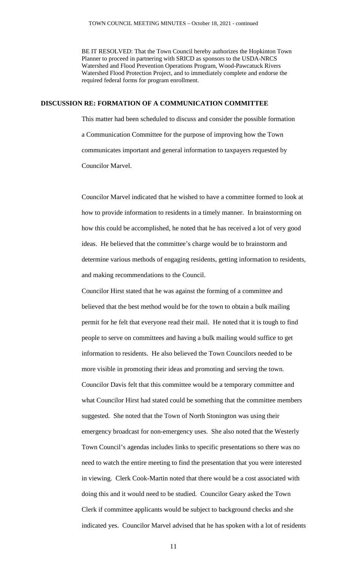BE IT RESOLVED: That the Town Council hereby authorizes the Hopkinton Town Planner to proceed in partnering with SRICD as sponsors to the USDA-NRCS Watershed and Flood Prevention Operations Program, Wood-Pawcatuck Rivers Watershed Flood Protection Project, and to immediately complete and endorse the required federal forms for program enrollment.

### **DISCUSSION RE: FORMATION OF A COMMUNICATION COMMITTEE**

This matter had been scheduled to discuss and consider the possible formation a Communication Committee for the purpose of improving how the Town communicates important and general information to taxpayers requested by Councilor Marvel.

Councilor Marvel indicated that he wished to have a committee formed to look at how to provide information to residents in a timely manner. In brainstorming on how this could be accomplished, he noted that he has received a lot of very good ideas. He believed that the committee's charge would be to brainstorm and determine various methods of engaging residents, getting information to residents, and making recommendations to the Council.

Councilor Hirst stated that he was against the forming of a committee and believed that the best method would be for the town to obtain a bulk mailing permit for he felt that everyone read their mail. He noted that it is tough to find people to serve on committees and having a bulk mailing would suffice to get information to residents. He also believed the Town Councilors needed to be more visible in promoting their ideas and promoting and serving the town. Councilor Davis felt that this committee would be a temporary committee and what Councilor Hirst had stated could be something that the committee members suggested. She noted that the Town of North Stonington was using their emergency broadcast for non-emergency uses. She also noted that the Westerly Town Council's agendas includes links to specific presentations so there was no need to watch the entire meeting to find the presentation that you were interested in viewing. Clerk Cook-Martin noted that there would be a cost associated with doing this and it would need to be studied. Councilor Geary asked the Town Clerk if committee applicants would be subject to background checks and she indicated yes. Councilor Marvel advised that he has spoken with a lot of residents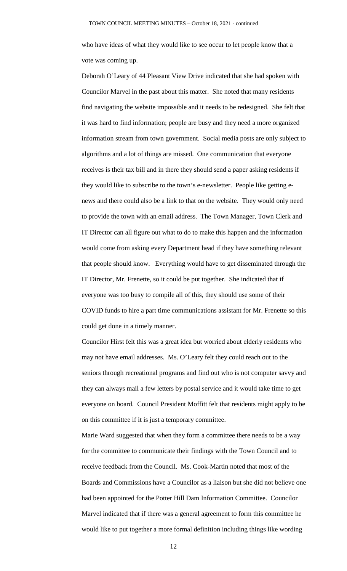who have ideas of what they would like to see occur to let people know that a vote was coming up.

Deborah O'Leary of 44 Pleasant View Drive indicated that she had spoken with Councilor Marvel in the past about this matter. She noted that many residents find navigating the website impossible and it needs to be redesigned. She felt that it was hard to find information; people are busy and they need a more organized information stream from town government. Social media posts are only subject to algorithms and a lot of things are missed. One communication that everyone receives is their tax bill and in there they should send a paper asking residents if they would like to subscribe to the town's e-newsletter. People like getting enews and there could also be a link to that on the website. They would only need to provide the town with an email address. The Town Manager, Town Clerk and IT Director can all figure out what to do to make this happen and the information would come from asking every Department head if they have something relevant that people should know. Everything would have to get disseminated through the IT Director, Mr. Frenette, so it could be put together. She indicated that if everyone was too busy to compile all of this, they should use some of their COVID funds to hire a part time communications assistant for Mr. Frenette so this could get done in a timely manner.

Councilor Hirst felt this was a great idea but worried about elderly residents who may not have email addresses. Ms. O'Leary felt they could reach out to the seniors through recreational programs and find out who is not computer savvy and they can always mail a few letters by postal service and it would take time to get everyone on board. Council President Moffitt felt that residents might apply to be on this committee if it is just a temporary committee.

Marie Ward suggested that when they form a committee there needs to be a way for the committee to communicate their findings with the Town Council and to receive feedback from the Council. Ms. Cook-Martin noted that most of the Boards and Commissions have a Councilor as a liaison but she did not believe one had been appointed for the Potter Hill Dam Information Committee. Councilor Marvel indicated that if there was a general agreement to form this committee he would like to put together a more formal definition including things like wording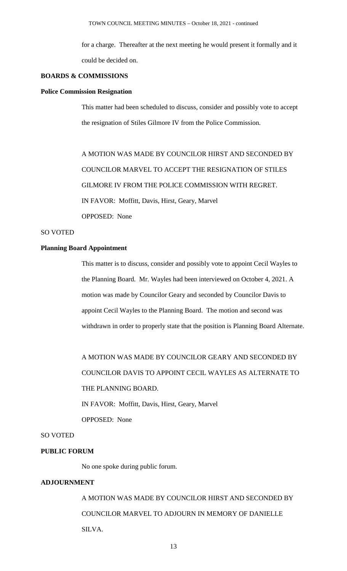for a charge. Thereafter at the next meeting he would present it formally and it could be decided on.

## **BOARDS & COMMISSIONS**

#### **Police Commission Resignation**

This matter had been scheduled to discuss, consider and possibly vote to accept the resignation of Stiles Gilmore IV from the Police Commission.

A MOTION WAS MADE BY COUNCILOR HIRST AND SECONDED BY COUNCILOR MARVEL TO ACCEPT THE RESIGNATION OF STILES GILMORE IV FROM THE POLICE COMMISSION WITH REGRET. IN FAVOR: Moffitt, Davis, Hirst, Geary, Marvel OPPOSED: None

## SO VOTED

# **Planning Board Appointment**

This matter is to discuss, consider and possibly vote to appoint Cecil Wayles to the Planning Board. Mr. Wayles had been interviewed on October 4, 2021. A motion was made by Councilor Geary and seconded by Councilor Davis to appoint Cecil Wayles to the Planning Board. The motion and second was withdrawn in order to properly state that the position is Planning Board Alternate.

A MOTION WAS MADE BY COUNCILOR GEARY AND SECONDED BY COUNCILOR DAVIS TO APPOINT CECIL WAYLES AS ALTERNATE TO THE PLANNING BOARD.

IN FAVOR: Moffitt, Davis, Hirst, Geary, Marvel OPPOSED: None

## SO VOTED

#### **PUBLIC FORUM**

No one spoke during public forum.

## **ADJOURNMENT**

A MOTION WAS MADE BY COUNCILOR HIRST AND SECONDED BY COUNCILOR MARVEL TO ADJOURN IN MEMORY OF DANIELLE SILVA.